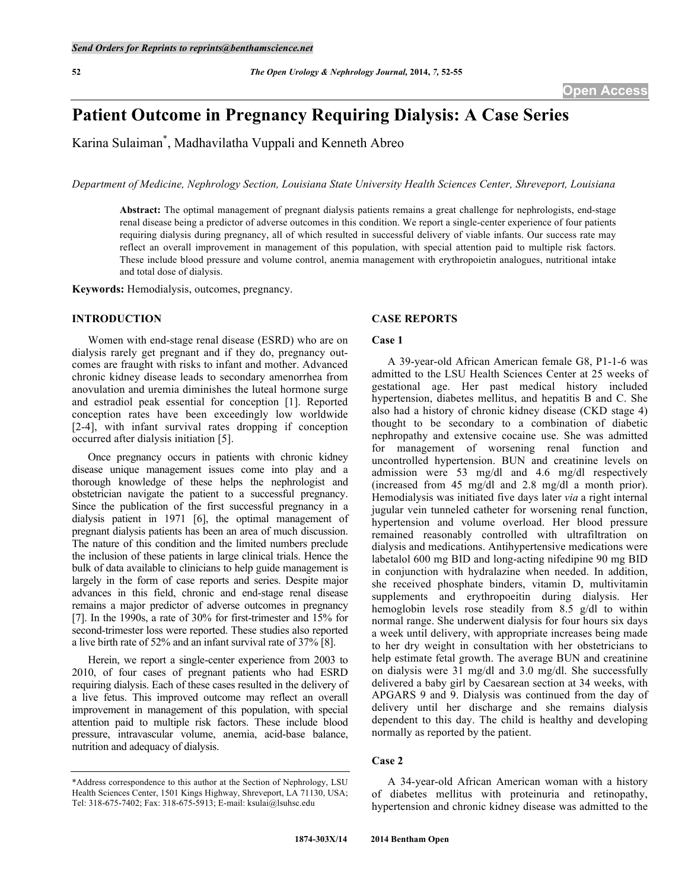# **Patient Outcome in Pregnancy Requiring Dialysis: A Case Series**

Karina Sulaiman\* , Madhavilatha Vuppali and Kenneth Abreo

*Department of Medicine, Nephrology Section, Louisiana State University Health Sciences Center, Shreveport, Louisiana*

**Abstract:** The optimal management of pregnant dialysis patients remains a great challenge for nephrologists, end-stage renal disease being a predictor of adverse outcomes in this condition. We report a single-center experience of four patients requiring dialysis during pregnancy, all of which resulted in successful delivery of viable infants. Our success rate may reflect an overall improvement in management of this population, with special attention paid to multiple risk factors. These include blood pressure and volume control, anemia management with erythropoietin analogues, nutritional intake and total dose of dialysis.

**Keywords:** Hemodialysis, outcomes, pregnancy.

# **INTRODUCTION**

Women with end-stage renal disease (ESRD) who are on dialysis rarely get pregnant and if they do, pregnancy outcomes are fraught with risks to infant and mother. Advanced chronic kidney disease leads to secondary amenorrhea from anovulation and uremia diminishes the luteal hormone surge and estradiol peak essential for conception [1]. Reported conception rates have been exceedingly low worldwide [2-4], with infant survival rates dropping if conception occurred after dialysis initiation [5].

Once pregnancy occurs in patients with chronic kidney disease unique management issues come into play and a thorough knowledge of these helps the nephrologist and obstetrician navigate the patient to a successful pregnancy. Since the publication of the first successful pregnancy in a dialysis patient in 1971 [6], the optimal management of pregnant dialysis patients has been an area of much discussion. The nature of this condition and the limited numbers preclude the inclusion of these patients in large clinical trials. Hence the bulk of data available to clinicians to help guide management is largely in the form of case reports and series. Despite major advances in this field, chronic and end-stage renal disease remains a major predictor of adverse outcomes in pregnancy [7]. In the 1990s, a rate of 30% for first-trimester and 15% for second-trimester loss were reported. These studies also reported a live birth rate of 52% and an infant survival rate of 37% [8].

Herein, we report a single-center experience from 2003 to 2010, of four cases of pregnant patients who had ESRD requiring dialysis. Each of these cases resulted in the delivery of a live fetus. This improved outcome may reflect an overall improvement in management of this population, with special attention paid to multiple risk factors. These include blood pressure, intravascular volume, anemia, acid-base balance, nutrition and adequacy of dialysis.

### **CASE REPORTS**

#### **Case 1**

A 39-year-old African American female G8, P1-1-6 was admitted to the LSU Health Sciences Center at 25 weeks of gestational age. Her past medical history included hypertension, diabetes mellitus, and hepatitis B and C. She also had a history of chronic kidney disease (CKD stage 4) thought to be secondary to a combination of diabetic nephropathy and extensive cocaine use. She was admitted for management of worsening renal function and uncontrolled hypertension. BUN and creatinine levels on admission were 53 mg/dl and 4.6 mg/dl respectively (increased from 45 mg/dl and 2.8 mg/dl a month prior). Hemodialysis was initiated five days later *via* a right internal jugular vein tunneled catheter for worsening renal function, hypertension and volume overload. Her blood pressure remained reasonably controlled with ultrafiltration on dialysis and medications. Antihypertensive medications were labetalol 600 mg BID and long-acting nifedipine 90 mg BID in conjunction with hydralazine when needed. In addition, she received phosphate binders, vitamin D, multivitamin supplements and erythropoeitin during dialysis. Her hemoglobin levels rose steadily from 8.5 g/dl to within normal range. She underwent dialysis for four hours six days a week until delivery, with appropriate increases being made to her dry weight in consultation with her obstetricians to help estimate fetal growth. The average BUN and creatinine on dialysis were 31 mg/dl and 3.0 mg/dl. She successfully delivered a baby girl by Caesarean section at 34 weeks, with APGARS 9 and 9. Dialysis was continued from the day of delivery until her discharge and she remains dialysis dependent to this day. The child is healthy and developing normally as reported by the patient.

# **Case 2**

A 34-year-old African American woman with a history of diabetes mellitus with proteinuria and retinopathy, hypertension and chronic kidney disease was admitted to the

<sup>\*</sup>Address correspondence to this author at the Section of Nephrology, LSU Health Sciences Center, 1501 Kings Highway, Shreveport, LA 71130, USA; Tel: 318-675-7402; Fax: 318-675-5913; E-mail: ksulai@lsuhsc.edu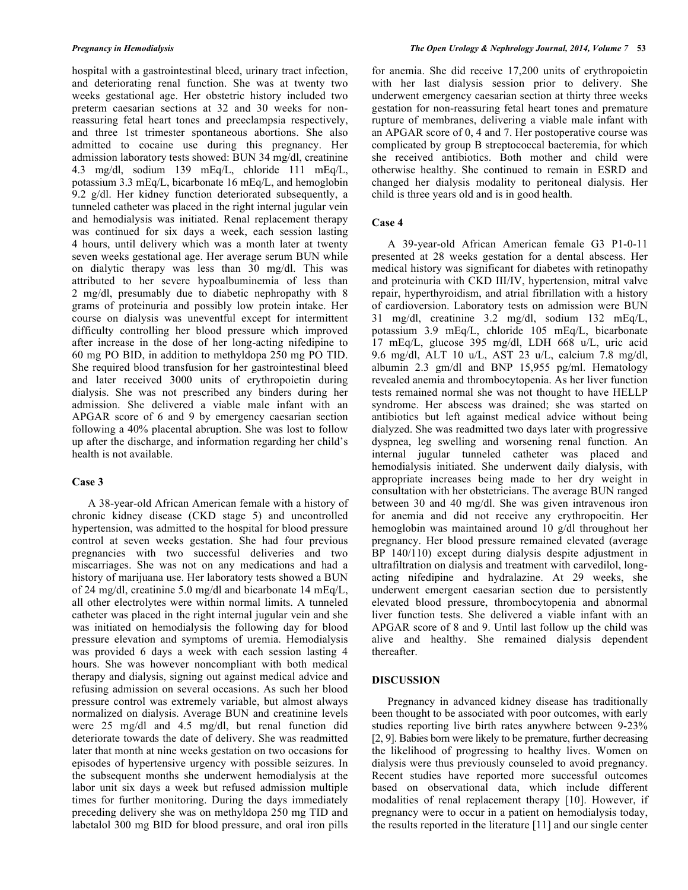hospital with a gastrointestinal bleed, urinary tract infection, and deteriorating renal function. She was at twenty two weeks gestational age. Her obstetric history included two preterm caesarian sections at 32 and 30 weeks for nonreassuring fetal heart tones and preeclampsia respectively, and three 1st trimester spontaneous abortions. She also admitted to cocaine use during this pregnancy. Her admission laboratory tests showed: BUN 34 mg/dl, creatinine 4.3 mg/dl, sodium 139 mEq/L, chloride 111 mEq/L, potassium 3.3 mEq/L, bicarbonate 16 mEq/L, and hemoglobin 9.2 g/dl. Her kidney function deteriorated subsequently, a tunneled catheter was placed in the right internal jugular vein and hemodialysis was initiated. Renal replacement therapy was continued for six days a week, each session lasting 4 hours, until delivery which was a month later at twenty seven weeks gestational age. Her average serum BUN while on dialytic therapy was less than 30 mg/dl. This was attributed to her severe hypoalbuminemia of less than 2 mg/dl, presumably due to diabetic nephropathy with 8 grams of proteinuria and possibly low protein intake. Her course on dialysis was uneventful except for intermittent difficulty controlling her blood pressure which improved after increase in the dose of her long-acting nifedipine to 60 mg PO BID, in addition to methyldopa 250 mg PO TID. She required blood transfusion for her gastrointestinal bleed and later received 3000 units of erythropoietin during dialysis. She was not prescribed any binders during her admission. She delivered a viable male infant with an APGAR score of 6 and 9 by emergency caesarian section following a 40% placental abruption. She was lost to follow up after the discharge, and information regarding her child's health is not available.

# **Case 3**

A 38-year-old African American female with a history of chronic kidney disease (CKD stage 5) and uncontrolled hypertension, was admitted to the hospital for blood pressure control at seven weeks gestation. She had four previous pregnancies with two successful deliveries and two miscarriages. She was not on any medications and had a history of marijuana use. Her laboratory tests showed a BUN of 24 mg/dl, creatinine 5.0 mg/dl and bicarbonate 14 mEq/L, all other electrolytes were within normal limits. A tunneled catheter was placed in the right internal jugular vein and she was initiated on hemodialysis the following day for blood pressure elevation and symptoms of uremia. Hemodialysis was provided 6 days a week with each session lasting 4 hours. She was however noncompliant with both medical therapy and dialysis, signing out against medical advice and refusing admission on several occasions. As such her blood pressure control was extremely variable, but almost always normalized on dialysis. Average BUN and creatinine levels were 25 mg/dl and 4.5 mg/dl, but renal function did deteriorate towards the date of delivery. She was readmitted later that month at nine weeks gestation on two occasions for episodes of hypertensive urgency with possible seizures. In the subsequent months she underwent hemodialysis at the labor unit six days a week but refused admission multiple times for further monitoring. During the days immediately preceding delivery she was on methyldopa 250 mg TID and labetalol 300 mg BID for blood pressure, and oral iron pills

for anemia. She did receive 17,200 units of erythropoietin with her last dialysis session prior to delivery. She underwent emergency caesarian section at thirty three weeks gestation for non-reassuring fetal heart tones and premature rupture of membranes, delivering a viable male infant with an APGAR score of 0, 4 and 7. Her postoperative course was complicated by group B streptococcal bacteremia, for which she received antibiotics. Both mother and child were otherwise healthy. She continued to remain in ESRD and changed her dialysis modality to peritoneal dialysis. Her child is three years old and is in good health.

# **Case 4**

A 39-year-old African American female G3 P1-0-11 presented at 28 weeks gestation for a dental abscess. Her medical history was significant for diabetes with retinopathy and proteinuria with CKD III/IV, hypertension, mitral valve repair, hyperthyroidism, and atrial fibrillation with a history of cardioversion. Laboratory tests on admission were BUN 31 mg/dl, creatinine 3.2 mg/dl, sodium 132 mEq/L, potassium 3.9 mEq/L, chloride 105 mEq/L, bicarbonate 17 mEq/L, glucose 395 mg/dl, LDH 668 u/L, uric acid 9.6 mg/dl, ALT 10 u/L, AST 23 u/L, calcium 7.8 mg/dl, albumin 2.3 gm/dl and BNP 15,955 pg/ml. Hematology revealed anemia and thrombocytopenia. As her liver function tests remained normal she was not thought to have HELLP syndrome. Her abscess was drained; she was started on antibiotics but left against medical advice without being dialyzed. She was readmitted two days later with progressive dyspnea, leg swelling and worsening renal function. An internal jugular tunneled catheter was placed and hemodialysis initiated. She underwent daily dialysis, with appropriate increases being made to her dry weight in consultation with her obstetricians. The average BUN ranged between 30 and 40 mg/dl. She was given intravenous iron for anemia and did not receive any erythropoeitin. Her hemoglobin was maintained around 10 g/dl throughout her pregnancy. Her blood pressure remained elevated (average BP 140/110) except during dialysis despite adjustment in ultrafiltration on dialysis and treatment with carvedilol, longacting nifedipine and hydralazine. At 29 weeks, she underwent emergent caesarian section due to persistently elevated blood pressure, thrombocytopenia and abnormal liver function tests. She delivered a viable infant with an APGAR score of 8 and 9. Until last follow up the child was alive and healthy. She remained dialysis dependent thereafter.

# **DISCUSSION**

Pregnancy in advanced kidney disease has traditionally been thought to be associated with poor outcomes, with early studies reporting live birth rates anywhere between 9-23% [2, 9]. Babies born were likely to be premature, further decreasing the likelihood of progressing to healthy lives. Women on dialysis were thus previously counseled to avoid pregnancy. Recent studies have reported more successful outcomes based on observational data, which include different modalities of renal replacement therapy [10]. However, if pregnancy were to occur in a patient on hemodialysis today, the results reported in the literature [11] and our single center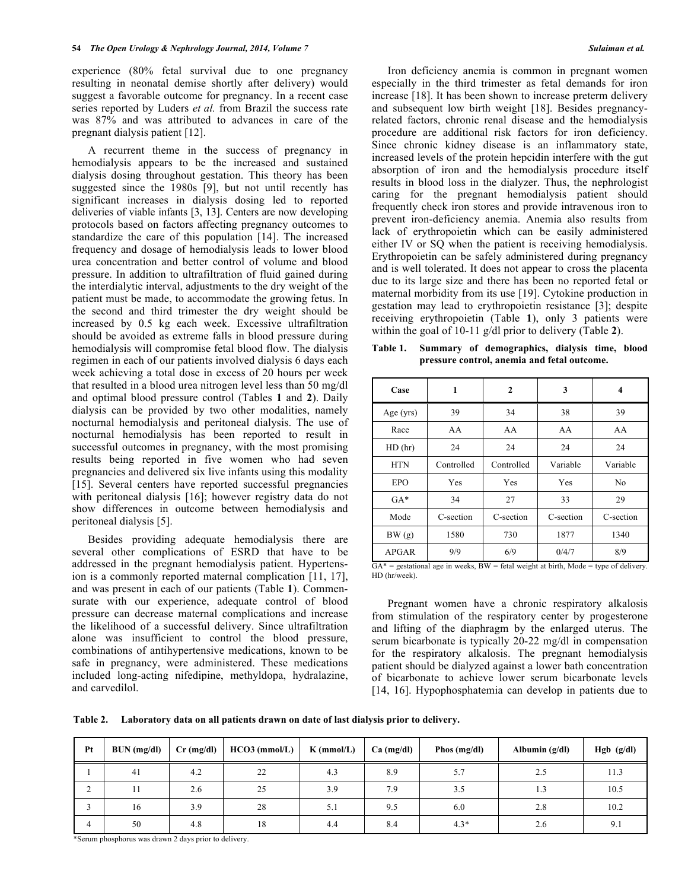experience (80% fetal survival due to one pregnancy resulting in neonatal demise shortly after delivery) would suggest a favorable outcome for pregnancy. In a recent case series reported by Luders *et al.* from Brazil the success rate was 87% and was attributed to advances in care of the pregnant dialysis patient [12].

A recurrent theme in the success of pregnancy in hemodialysis appears to be the increased and sustained dialysis dosing throughout gestation. This theory has been suggested since the 1980s [9], but not until recently has significant increases in dialysis dosing led to reported deliveries of viable infants [3, 13]. Centers are now developing protocols based on factors affecting pregnancy outcomes to standardize the care of this population [14]. The increased frequency and dosage of hemodialysis leads to lower blood urea concentration and better control of volume and blood pressure. In addition to ultrafiltration of fluid gained during the interdialytic interval, adjustments to the dry weight of the patient must be made, to accommodate the growing fetus. In the second and third trimester the dry weight should be increased by 0.5 kg each week. Excessive ultrafiltration should be avoided as extreme falls in blood pressure during hemodialysis will compromise fetal blood flow. The dialysis regimen in each of our patients involved dialysis 6 days each week achieving a total dose in excess of 20 hours per week that resulted in a blood urea nitrogen level less than 50 mg/dl and optimal blood pressure control (Tables **1** and **2**). Daily dialysis can be provided by two other modalities, namely nocturnal hemodialysis and peritoneal dialysis. The use of nocturnal hemodialysis has been reported to result in successful outcomes in pregnancy, with the most promising results being reported in five women who had seven pregnancies and delivered six live infants using this modality [15]. Several centers have reported successful pregnancies with peritoneal dialysis [16]; however registry data do not show differences in outcome between hemodialysis and peritoneal dialysis [5].

Besides providing adequate hemodialysis there are several other complications of ESRD that have to be addressed in the pregnant hemodialysis patient. Hypertension is a commonly reported maternal complication [11, 17], and was present in each of our patients (Table **1**). Commensurate with our experience, adequate control of blood pressure can decrease maternal complications and increase the likelihood of a successful delivery. Since ultrafiltration alone was insufficient to control the blood pressure, combinations of antihypertensive medications, known to be safe in pregnancy, were administered. These medications included long-acting nifedipine, methyldopa, hydralazine, and carvedilol.

Iron deficiency anemia is common in pregnant women especially in the third trimester as fetal demands for iron increase [18]. It has been shown to increase preterm delivery and subsequent low birth weight [18]. Besides pregnancyrelated factors, chronic renal disease and the hemodialysis procedure are additional risk factors for iron deficiency. Since chronic kidney disease is an inflammatory state, increased levels of the protein hepcidin interfere with the gut absorption of iron and the hemodialysis procedure itself results in blood loss in the dialyzer. Thus, the nephrologist caring for the pregnant hemodialysis patient should frequently check iron stores and provide intravenous iron to prevent iron-deficiency anemia. Anemia also results from lack of erythropoietin which can be easily administered either IV or SQ when the patient is receiving hemodialysis. Erythropoietin can be safely administered during pregnancy and is well tolerated. It does not appear to cross the placenta due to its large size and there has been no reported fetal or maternal morbidity from its use [19]. Cytokine production in gestation may lead to erythropoietin resistance [3]; despite receiving erythropoietin (Table **1**), only 3 patients were within the goal of 10-11 g/dl prior to delivery (Table **2**).

**Table 1. Summary of demographics, dialysis time, blood pressure control, anemia and fetal outcome.**

| Case         | 1          | 2          | 3         | 4              |  |
|--------------|------------|------------|-----------|----------------|--|
| Age $(yrs)$  | 39         | 34         | 38        | 39             |  |
| Race         | AA         | AA         | AA        | AA             |  |
| HD(hr)       | 24         | 24         | 24        | 24             |  |
| <b>HTN</b>   | Controlled | Controlled | Variable  | Variable       |  |
| <b>EPO</b>   | Yes        | Yes        | Yes       | N <sub>0</sub> |  |
| $GA*$        | 34         | 27         | 33        | 29             |  |
| Mode         | C-section  | C-section  | C-section | C-section      |  |
| BW(g)        | 1580       | 730        | 1877      | 1340           |  |
| <b>APGAR</b> | 9/9        | 6/9        | 0/4/7     | 8/9            |  |

 $\overline{GA}^*$  = gestational age in weeks, BW = fetal weight at birth, Mode = type of delivery. HD (hr/week).

Pregnant women have a chronic respiratory alkalosis from stimulation of the respiratory center by progesterone and lifting of the diaphragm by the enlarged uterus. The serum bicarbonate is typically 20-22 mg/dl in compensation for the respiratory alkalosis. The pregnant hemodialysis patient should be dialyzed against a lower bath concentration of bicarbonate to achieve lower serum bicarbonate levels [14, 16]. Hypophosphatemia can develop in patients due to

**Table 2. Laboratory data on all patients drawn on date of last dialysis prior to delivery.**

| Pt             | BUN (mg/dl) | $Cr$ (mg/dl) | $HCO3$ (mmol/L) | $K$ (mmol/L) | $Ca$ (mg/dl) | Phos $(mg/dl)$ | Albumin $(g/dl)$ | Hgb (g/dl) |
|----------------|-------------|--------------|-----------------|--------------|--------------|----------------|------------------|------------|
|                | 41          | 4.2          | 22              | 4.3          | 8.9          | 5.7            | 2.5              | 11.3       |
| $\bigcap$<br>∠ | 11          | 2.6          | 25              | 3.9          | 7.9          | 3.5            | 1.3              | 10.5       |
|                | 16          | 3.9          | 28              | 5.1          | 9.5          | 6.0            | 2.8              | 10.2       |
| 4              | 50          | 4.8          | 18              | 4.4          | 8.4          | $4.3*$         | 2.6              | 9.1        |

\*Serum phosphorus was drawn 2 days prior to delivery.